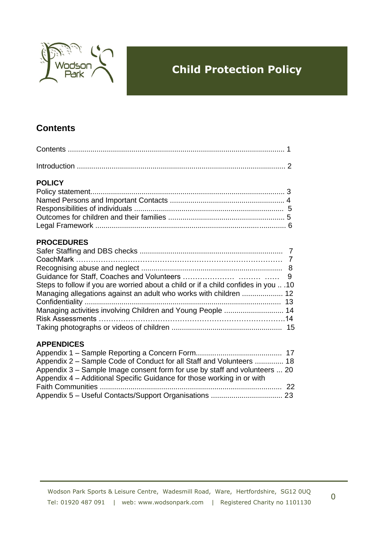

# **Child Protection Policy**

## **Contents**

| <b>POLICY</b>                             |   |
|-------------------------------------------|---|
|                                           |   |
|                                           |   |
|                                           |   |
|                                           |   |
|                                           |   |
| <b>PROCEDURES</b>                         |   |
|                                           |   |
|                                           |   |
|                                           |   |
| Guidance for Staff Coaches and Volunteers | Q |

| 10. Steps to follow if you are worried about a child or if a child confides in you  .10 |  |
|-----------------------------------------------------------------------------------------|--|
|                                                                                         |  |
|                                                                                         |  |
|                                                                                         |  |
|                                                                                         |  |
|                                                                                         |  |

#### **APPENDICES**

| Appendix 2 – Sample Code of Conduct for all Staff and Volunteers  18       |  |
|----------------------------------------------------------------------------|--|
| Appendix 3 – Sample Image consent form for use by staff and volunteers  20 |  |
| Appendix 4 - Additional Specific Guidance for those working in or with     |  |
|                                                                            |  |
|                                                                            |  |

0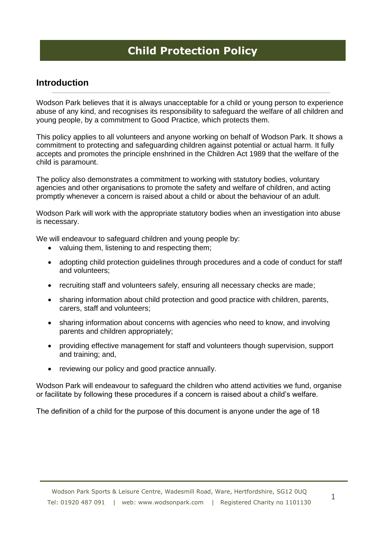# **Child Protection Policy**

### **Introduction**

Wodson Park believes that it is always unacceptable for a child or young person to experience abuse of any kind, and recognises its responsibility to safeguard the welfare of all children and young people, by a commitment to Good Practice, which protects them.

This policy applies to all volunteers and anyone working on behalf of Wodson Park. It shows a commitment to protecting and safeguarding children against potential or actual harm. It fully accepts and promotes the principle enshrined in the Children Act 1989 that the welfare of the child is paramount.

The policy also demonstrates a commitment to working with statutory bodies, voluntary agencies and other organisations to promote the safety and welfare of children, and acting promptly whenever a concern is raised about a child or about the behaviour of an adult.

Wodson Park will work with the appropriate statutory bodies when an investigation into abuse is necessary.

We will endeavour to safeguard children and young people by:

- valuing them, listening to and respecting them;
- adopting child protection guidelines through procedures and a code of conduct for staff and volunteers;
- recruiting staff and volunteers safely, ensuring all necessary checks are made;
- sharing information about child protection and good practice with children, parents, carers, staff and volunteers;
- sharing information about concerns with agencies who need to know, and involving parents and children appropriately;
- providing effective management for staff and volunteers though supervision, support and training; and,
- reviewing our policy and good practice annually.

Wodson Park will endeavour to safeguard the children who attend activities we fund, organise or facilitate by following these procedures if a concern is raised about a child's welfare.

The definition of a child for the purpose of this document is anyone under the age of 18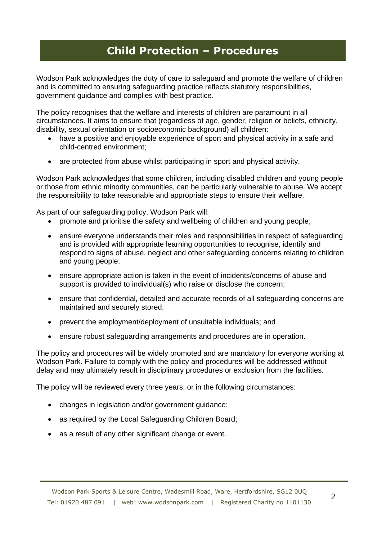Wodson Park acknowledges the duty of care to safeguard and promote the welfare of children and is committed to ensuring safeguarding practice reflects statutory responsibilities, government guidance and complies with best practice.

The policy recognises that the welfare and interests of children are paramount in all circumstances. It aims to ensure that (regardless of age, gender, religion or beliefs, ethnicity, disability, sexual orientation or socioeconomic background) all children:

- have a positive and enjoyable experience of sport and physical activity in a safe and child-centred environment;
- are protected from abuse whilst participating in sport and physical activity.

Wodson Park acknowledges that some children, including disabled children and young people or those from ethnic minority communities, can be particularly vulnerable to abuse. We accept the responsibility to take reasonable and appropriate steps to ensure their welfare.

As part of our safeguarding policy, Wodson Park will:

- promote and prioritise the safety and wellbeing of children and young people;
- ensure everyone understands their roles and responsibilities in respect of safeguarding and is provided with appropriate learning opportunities to recognise, identify and respond to signs of abuse, neglect and other safeguarding concerns relating to children and young people;
- ensure appropriate action is taken in the event of incidents/concerns of abuse and support is provided to individual(s) who raise or disclose the concern;
- ensure that confidential, detailed and accurate records of all safeguarding concerns are maintained and securely stored;
- prevent the employment/deployment of unsuitable individuals; and
- ensure robust safeguarding arrangements and procedures are in operation.

The policy and procedures will be widely promoted and are mandatory for everyone working at Wodson Park. Failure to comply with the policy and procedures will be addressed without delay and may ultimately result in disciplinary procedures or exclusion from the facilities.

The policy will be reviewed every three years, or in the following circumstances:

- changes in legislation and/or government guidance;
- as required by the Local Safeguarding Children Board:
- as a result of any other significant change or event.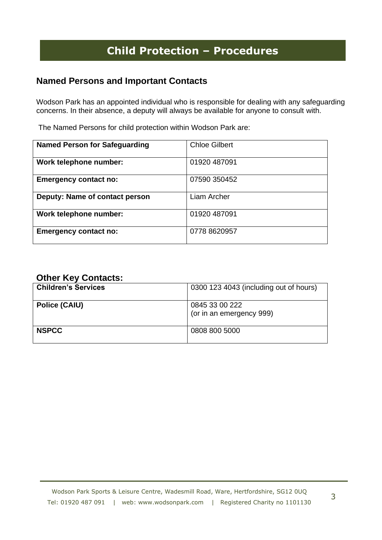### **Named Persons and Important Contacts**

Wodson Park has an appointed individual who is responsible for dealing with any safeguarding concerns. In their absence, a deputy will always be available for anyone to consult with.

The Named Persons for child protection within Wodson Park are:

| <b>Named Person for Safeguarding</b> | <b>Chloe Gilbert</b> |
|--------------------------------------|----------------------|
| Work telephone number:               | 01920 487091         |
| <b>Emergency contact no:</b>         | 07590 350452         |
| Deputy: Name of contact person       | Liam Archer          |
| Work telephone number:               | 01920 487091         |
| <b>Emergency contact no:</b>         | 0778 8620957         |

## **Other Key Contacts:**

| <b>Children's Services</b> | 0300 123 4043 (including out of hours)     |
|----------------------------|--------------------------------------------|
| <b>Police (CAIU)</b>       | 0845 33 00 222<br>(or in an emergency 999) |
| <b>NSPCC</b>               | 0808 800 5000                              |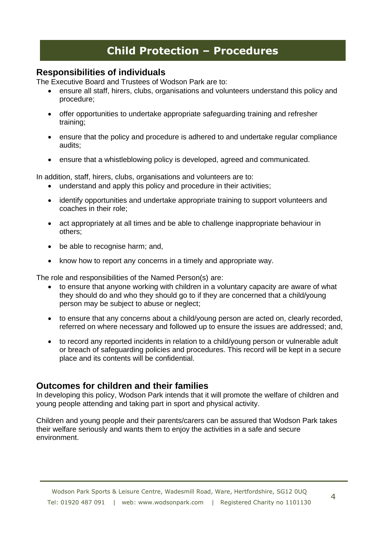### **Responsibilities of individuals**

The Executive Board and Trustees of Wodson Park are to:

- ensure all staff, hirers, clubs, organisations and volunteers understand this policy and procedure;
- offer opportunities to undertake appropriate safeguarding training and refresher training;
- ensure that the policy and procedure is adhered to and undertake regular compliance audits;
- ensure that a whistleblowing policy is developed, agreed and communicated.

In addition, staff, hirers, clubs, organisations and volunteers are to:

- understand and apply this policy and procedure in their activities;
- identify opportunities and undertake appropriate training to support volunteers and coaches in their role;
- act appropriately at all times and be able to challenge inappropriate behaviour in others;
- be able to recognise harm; and,
- know how to report any concerns in a timely and appropriate way.

The role and responsibilities of the Named Person(s) are:

- to ensure that anyone working with children in a voluntary capacity are aware of what they should do and who they should go to if they are concerned that a child/young person may be subject to abuse or neglect;
- to ensure that any concerns about a child/young person are acted on, clearly recorded, referred on where necessary and followed up to ensure the issues are addressed; and,
- to record any reported incidents in relation to a child/young person or vulnerable adult or breach of safeguarding policies and procedures. This record will be kept in a secure place and its contents will be confidential.

### **Outcomes for children and their families**

In developing this policy, Wodson Park intends that it will promote the welfare of children and young people attending and taking part in sport and physical activity.

Children and young people and their parents/carers can be assured that Wodson Park takes their welfare seriously and wants them to enjoy the activities in a safe and secure environment.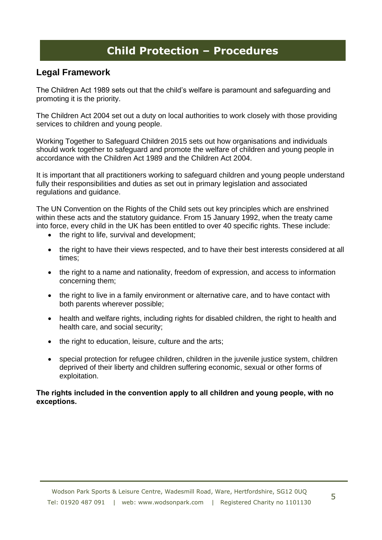### **Legal Framework**

The Children Act 1989 sets out that the child's welfare is paramount and safeguarding and promoting it is the priority.

The Children Act 2004 set out a duty on local authorities to work closely with those providing services to children and young people.

Working Together to Safeguard Children 2015 sets out how organisations and individuals should work together to safeguard and promote the welfare of children and young people in accordance with the Children Act 1989 and the Children Act 2004.

It is important that all practitioners working to safeguard children and young people understand fully their responsibilities and duties as set out in primary legislation and associated regulations and guidance.

The UN Convention on the Rights of the Child sets out key principles which are enshrined within these acts and the statutory guidance. From 15 January 1992, when the treaty came into force, every child in the UK has been entitled to over 40 specific rights. These include:

- the right to life, survival and development;
- the right to have their views respected, and to have their best interests considered at all times;
- the right to a name and nationality, freedom of expression, and access to information concerning them;
- the right to live in a family environment or alternative care, and to have contact with both parents wherever possible;
- health and welfare rights, including rights for disabled children, the right to health and health care, and social security;
- the right to education, leisure, culture and the arts;
- special protection for refugee children, children in the juvenile justice system, children deprived of their liberty and children suffering economic, sexual or other forms of exploitation.

#### **The rights included in the convention apply to all children and young people, with no exceptions.**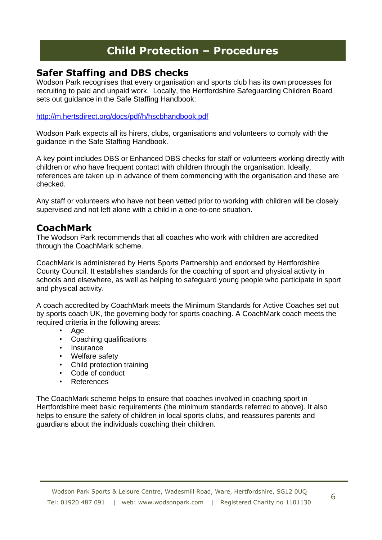## **Safer Staffing and DBS checks**

Wodson Park recognises that every organisation and sports club has its own processes for recruiting to paid and unpaid work. Locally, the Hertfordshire Safeguarding Children Board sets out guidance in the Safe Staffing Handbook:

#### <http://m.hertsdirect.org/docs/pdf/h/hscbhandbook.pdf>

Wodson Park expects all its hirers, clubs, organisations and volunteers to comply with the guidance in the Safe Staffing Handbook.

A key point includes DBS or Enhanced DBS checks for staff or volunteers working directly with children or who have frequent contact with children through the organisation. Ideally, references are taken up in advance of them commencing with the organisation and these are checked.

Any staff or volunteers who have not been vetted prior to working with children will be closely supervised and not left alone with a child in a one-to-one situation.

## **CoachMark**

The Wodson Park recommends that all coaches who work with children are accredited through the CoachMark scheme.

CoachMark is administered by Herts Sports Partnership and endorsed by Hertfordshire County Council. It establishes standards for the coaching of sport and physical activity in schools and elsewhere, as well as helping to safeguard young people who participate in sport and physical activity.

A coach accredited by CoachMark meets the Minimum Standards for Active Coaches set out by sports coach UK, the governing body for sports coaching. A CoachMark coach meets the required criteria in the following areas:

- Age
- Coaching qualifications
- **Insurance**
- Welfare safety<br>• Child protection
- Child protection training
- Code of conduct
- **References**

The CoachMark scheme helps to ensure that coaches involved in coaching sport in Hertfordshire meet basic requirements (the minimum standards referred to above). It also helps to ensure the safety of children in local sports clubs, and reassures parents and guardians about the individuals coaching their children.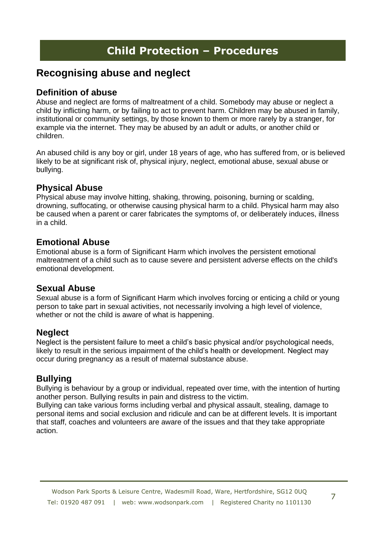## **Recognising abuse and neglect**

### **Definition of abuse**

Abuse and neglect are forms of maltreatment of a child. Somebody may abuse or neglect a child by inflicting harm, or by failing to act to prevent harm. Children may be abused in family, institutional or community settings, by those known to them or more rarely by a stranger, for example via the internet. They may be abused by an adult or adults, or another child or children.

An abused child is any boy or girl, under 18 years of age, who has suffered from, or is believed likely to be at significant risk of, physical injury, neglect, emotional abuse, sexual abuse or bullying.

### **Physical Abuse**

Physical abuse may involve hitting, shaking, throwing, poisoning, burning or scalding, drowning, suffocating, or otherwise causing physical harm to a child. Physical harm may also be caused when a parent or carer fabricates the symptoms of, or deliberately induces, illness in a child.

## **Emotional Abuse**

Emotional abuse is a form of Significant Harm which involves the persistent emotional maltreatment of a child such as to cause severe and persistent adverse effects on the child's emotional development.

### **Sexual Abuse**

Sexual abuse is a form of Significant Harm which involves forcing or enticing a child or young person to take part in sexual activities, not necessarily involving a high level of violence, whether or not the child is aware of what is happening.

### **Neglect**

Neglect is the persistent failure to meet a child's basic physical and/or psychological needs, likely to result in the serious impairment of the child's health or development. Neglect may occur during pregnancy as a result of maternal substance abuse.

## **Bullying**

Bullying is behaviour by a group or individual, repeated over time, with the intention of hurting another person. Bullying results in pain and distress to the victim.

Bullying can take various forms including verbal and physical assault, stealing, damage to personal items and social exclusion and ridicule and can be at different levels. It is important that staff, coaches and volunteers are aware of the issues and that they take appropriate action.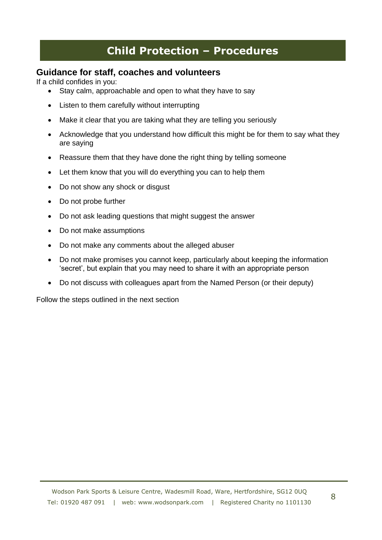### **Guidance for staff, coaches and volunteers**

If a child confides in you:

- Stay calm, approachable and open to what they have to say
- Listen to them carefully without interrupting
- Make it clear that you are taking what they are telling you seriously
- Acknowledge that you understand how difficult this might be for them to say what they are saying
- Reassure them that they have done the right thing by telling someone
- Let them know that you will do everything you can to help them
- Do not show any shock or disqust
- Do not probe further
- Do not ask leading questions that might suggest the answer
- Do not make assumptions
- Do not make any comments about the alleged abuser
- Do not make promises you cannot keep, particularly about keeping the information 'secret', but explain that you may need to share it with an appropriate person
- Do not discuss with colleagues apart from the Named Person (or their deputy)

Follow the steps outlined in the next section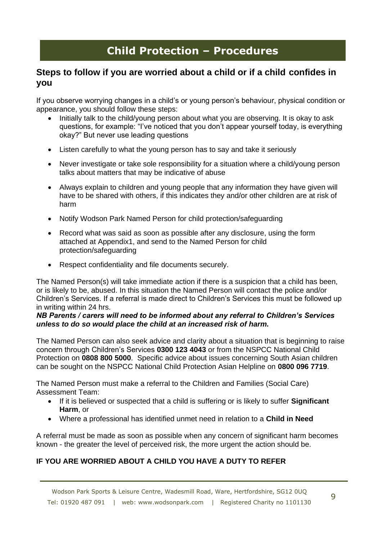### **Steps to follow if you are worried about a child or if a child confides in you**

If you observe worrying changes in a child's or young person's behaviour, physical condition or appearance, you should follow these steps:

- Initially talk to the child/young person about what you are observing. It is okay to ask questions, for example: "I've noticed that you don't appear yourself today, is everything okay?" But never use leading questions
- Listen carefully to what the young person has to say and take it seriously
- Never investigate or take sole responsibility for a situation where a child/young person talks about matters that may be indicative of abuse
- Always explain to children and young people that any information they have given will have to be shared with others, if this indicates they and/or other children are at risk of harm
- Notify Wodson Park Named Person for child protection/safeguarding
- Record what was said as soon as possible after any disclosure, using the form attached at Appendix1, and send to the Named Person for child protection/safeguarding
- Respect confidentiality and file documents securely.

The Named Person(s) will take immediate action if there is a suspicion that a child has been, or is likely to be, abused. In this situation the Named Person will contact the police and/or Children's Services. If a referral is made direct to Children's Services this must be followed up in writing within 24 hrs.

#### *NB Parents / carers will need to be informed about any referral to Children's Services unless to do so would place the child at an increased risk of harm.*

The Named Person can also seek advice and clarity about a situation that is beginning to raise concern through Children's Services **0300 123 4043** or from the NSPCC National Child Protection on **0808 800 5000**. Specific advice about issues concerning South Asian children can be sought on the NSPCC National Child Protection Asian Helpline on **0800 096 7719**.

The Named Person must make a referral to the Children and Families (Social Care) Assessment Team:

- If it is believed or suspected that a child is suffering or is likely to suffer **Significant Harm**, or
- Where a professional has identified unmet need in relation to a **Child in Need**

A referral must be made as soon as possible when any concern of significant harm becomes known - the greater the level of perceived risk, the more urgent the action should be.

#### **IF YOU ARE WORRIED ABOUT A CHILD YOU HAVE A DUTY TO REFER**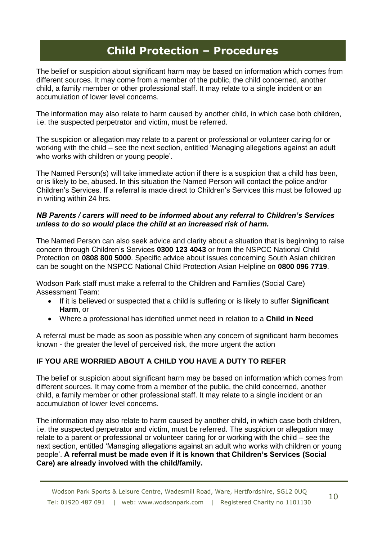The belief or suspicion about significant harm may be based on information which comes from different sources. It may come from a member of the public, the child concerned, another child, a family member or other professional staff. It may relate to a single incident or an accumulation of lower level concerns.

The information may also relate to harm caused by another child, in which case both children, i.e. the suspected perpetrator and victim, must be referred.

The suspicion or allegation may relate to a parent or professional or volunteer caring for or working with the child – see the next section, entitled 'Managing allegations against an adult who works with children or young people'.

The Named Person(s) will take immediate action if there is a suspicion that a child has been, or is likely to be, abused. In this situation the Named Person will contact the police and/or Children's Services. If a referral is made direct to Children's Services this must be followed up in writing within 24 hrs.

#### *NB Parents / carers will need to be informed about any referral to Children's Services unless to do so would place the child at an increased risk of harm.*

The Named Person can also seek advice and clarity about a situation that is beginning to raise concern through Children's Services **0300 123 4043** or from the NSPCC National Child Protection on **0808 800 5000**. Specific advice about issues concerning South Asian children can be sought on the NSPCC National Child Protection Asian Helpline on **0800 096 7719**.

Wodson Park staff must make a referral to the Children and Families (Social Care) Assessment Team:

- If it is believed or suspected that a child is suffering or is likely to suffer **Significant Harm**, or
- Where a professional has identified unmet need in relation to a **Child in Need**

A referral must be made as soon as possible when any concern of significant harm becomes known - the greater the level of perceived risk, the more urgent the action

#### **IF YOU ARE WORRIED ABOUT A CHILD YOU HAVE A DUTY TO REFER**

The belief or suspicion about significant harm may be based on information which comes from different sources. It may come from a member of the public, the child concerned, another child, a family member or other professional staff. It may relate to a single incident or an accumulation of lower level concerns.

The information may also relate to harm caused by another child, in which case both children, i.e. the suspected perpetrator and victim, must be referred. The suspicion or allegation may relate to a parent or professional or volunteer caring for or working with the child – see the next section, entitled 'Managing allegations against an adult who works with children or young people'. **A referral must be made even if it is known that Children's Services (Social Care) are already involved with the child/family.**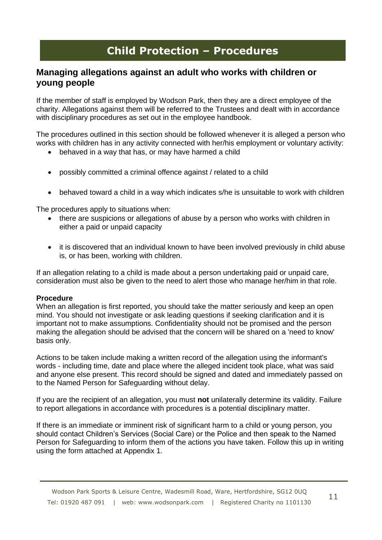### **Managing allegations against an adult who works with children or young people**

If the member of staff is employed by Wodson Park, then they are a direct employee of the charity. Allegations against them will be referred to the Trustees and dealt with in accordance with disciplinary procedures as set out in the employee handbook.

The procedures outlined in this section should be followed whenever it is alleged a person who works with children has in any activity connected with her/his employment or voluntary activity:

- behaved in a way that has, or may have harmed a child
- possibly committed a criminal offence against / related to a child
- behaved toward a child in a way which indicates s/he is unsuitable to work with children

The procedures apply to situations when:

- there are suspicions or allegations of abuse by a person who works with children in either a paid or unpaid capacity
- it is discovered that an individual known to have been involved previously in child abuse is, or has been, working with children.

If an allegation relating to a child is made about a person undertaking paid or unpaid care, consideration must also be given to the need to alert those who manage her/him in that role.

#### **Procedure**

When an allegation is first reported, you should take the matter seriously and keep an open mind. You should not investigate or ask leading questions if seeking clarification and it is important not to make assumptions. Confidentiality should not be promised and the person making the allegation should be advised that the concern will be shared on a 'need to know' basis only.

Actions to be taken include making a written record of the allegation using the informant's words - including time, date and place where the alleged incident took place, what was said and anyone else present. This record should be signed and dated and immediately passed on to the Named Person for Safeguarding without delay.

If you are the recipient of an allegation, you must **not** unilaterally determine its validity. Failure to report allegations in accordance with procedures is a potential disciplinary matter.

If there is an immediate or imminent risk of significant harm to a child or young person, you should contact Children's Services (Social Care) or the Police and then speak to the Named Person for Safeguarding to inform them of the actions you have taken. Follow this up in writing using the form attached at Appendix 1.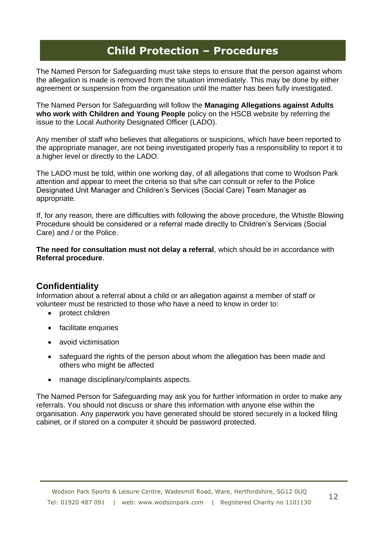The Named Person for Safeguarding must take steps to ensure that the person against whom the allegation is made is removed from the situation immediately. This may be done by either agreement or suspension from the organisation until the matter has been fully investigated.

The Named Person for Safeguarding will follow the **Managing Allegations against Adults who work with Children and Young People** policy on the HSCB website by referring the issue to the Local Authority Designated Officer (LADO).

Any member of staff who believes that allegations or suspicions, which have been reported to the appropriate manager, are not being investigated properly has a responsibility to report it to a higher level or directly to the LADO.

The LADO must be told, within one working day, of all allegations that come to Wodson Park attention and appear to meet the criteria so that s/he can consult or refer to the Police Designated Unit Manager and Children's Services (Social Care) Team Manager as appropriate.

If, for any reason, there are difficulties with following the above procedure, the Whistle Blowing Procedure should be considered or a referral made directly to Children's Services (Social Care) and / or the Police.

**The need for consultation must not delay a referral**, which should be in accordance with **Referral procedure**.

### **Confidentiality**

Information about a referral about a child or an allegation against a member of staff or volunteer must be restricted to those who have a need to know in order to:

- protect children
- facilitate enquiries
- avoid victimisation
- safeguard the rights of the person about whom the allegation has been made and others who might be affected
- manage disciplinary/complaints aspects.

The Named Person for Safeguarding may ask you for further information in order to make any referrals. You should not discuss or share this information with anyone else within the organisation. Any paperwork you have generated should be stored securely in a locked filing cabinet, or if stored on a computer it should be password protected.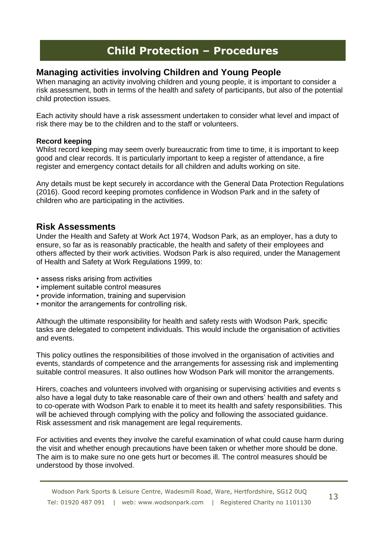### **Managing activities involving Children and Young People**

When managing an activity involving children and young people, it is important to consider a risk assessment, both in terms of the health and safety of participants, but also of the potential child protection issues.

Each activity should have a risk assessment undertaken to consider what level and impact of risk there may be to the children and to the staff or volunteers.

#### **Record keeping**

Whilst record keeping may seem overly bureaucratic from time to time, it is important to keep good and clear records. It is particularly important to keep a register of attendance, a fire register and emergency contact details for all children and adults working on site.

Any details must be kept securely in accordance with the General Data Protection Regulations (2016). Good record keeping promotes confidence in Wodson Park and in the safety of children who are participating in the activities.

#### **Risk Assessments**

Under the Health and Safety at Work Act 1974, Wodson Park, as an employer, has a duty to ensure, so far as is reasonably practicable, the health and safety of their employees and others affected by their work activities. Wodson Park is also required, under the Management of Health and Safety at Work Regulations 1999, to:

- assess risks arising from activities
- implement suitable control measures
- provide information, training and supervision
- monitor the arrangements for controlling risk.

Although the ultimate responsibility for health and safety rests with Wodson Park, specific tasks are delegated to competent individuals. This would include the organisation of activities and events.

This policy outlines the responsibilities of those involved in the organisation of activities and events, standards of competence and the arrangements for assessing risk and implementing suitable control measures. It also outlines how Wodson Park will monitor the arrangements.

Hirers, coaches and volunteers involved with organising or supervising activities and events s also have a legal duty to take reasonable care of their own and others' health and safety and to co-operate with Wodson Park to enable it to meet its health and safety responsibilities. This will be achieved through complying with the policy and following the associated guidance. Risk assessment and risk management are legal requirements.

For activities and events they involve the careful examination of what could cause harm during the visit and whether enough precautions have been taken or whether more should be done. The aim is to make sure no one gets hurt or becomes ill. The control measures should be understood by those involved.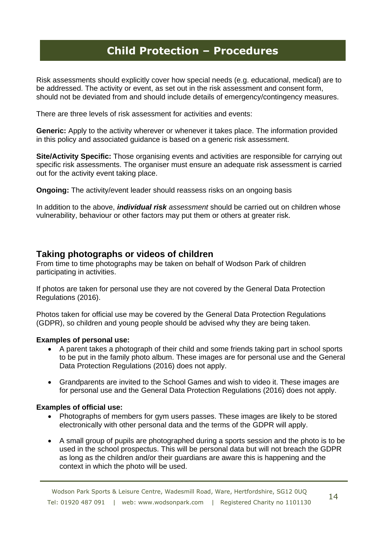Risk assessments should explicitly cover how special needs (e.g. educational, medical) are to be addressed. The activity or event, as set out in the risk assessment and consent form, should not be deviated from and should include details of emergency/contingency measures.

There are three levels of risk assessment for activities and events:

**Generic:** Apply to the activity wherever or whenever it takes place. The information provided in this policy and associated guidance is based on a generic risk assessment.

**Site/Activity Specific:** Those organising events and activities are responsible for carrying out specific risk assessments. The organiser must ensure an adequate risk assessment is carried out for the activity event taking place.

**Ongoing:** The activity/event leader should reassess risks on an ongoing basis

In addition to the above, *individual risk assessment* should be carried out on children whose vulnerability, behaviour or other factors may put them or others at greater risk.

### **Taking photographs or videos of children**

From time to time photographs may be taken on behalf of Wodson Park of children participating in activities.

If photos are taken for personal use they are not covered by the General Data Protection Regulations (2016).

Photos taken for official use may be covered by the General Data Protection Regulations (GDPR), so children and young people should be advised why they are being taken.

#### **Examples of personal use:**

- A parent takes a photograph of their child and some friends taking part in school sports to be put in the family photo album. These images are for personal use and the General Data Protection Regulations (2016) does not apply.
- Grandparents are invited to the School Games and wish to video it. These images are for personal use and the General Data Protection Regulations (2016) does not apply.

#### **Examples of official use:**

- Photographs of members for gym users passes. These images are likely to be stored electronically with other personal data and the terms of the GDPR will apply.
- A small group of pupils are photographed during a sports session and the photo is to be used in the school prospectus. This will be personal data but will not breach the GDPR as long as the children and/or their guardians are aware this is happening and the context in which the photo will be used.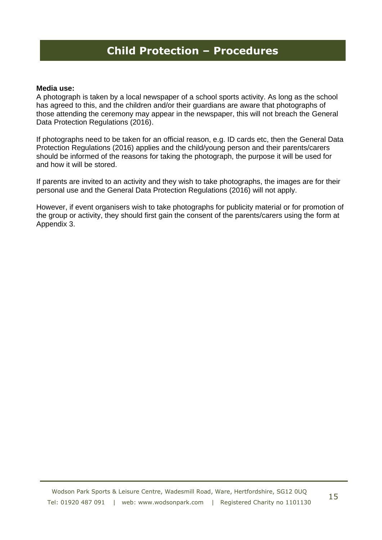#### **Media use:**

A photograph is taken by a local newspaper of a school sports activity. As long as the school has agreed to this, and the children and/or their guardians are aware that photographs of those attending the ceremony may appear in the newspaper, this will not breach the General Data Protection Regulations (2016).

If photographs need to be taken for an official reason, e.g. ID cards etc, then the General Data Protection Regulations (2016) applies and the child/young person and their parents/carers should be informed of the reasons for taking the photograph, the purpose it will be used for and how it will be stored.

If parents are invited to an activity and they wish to take photographs, the images are for their personal use and the General Data Protection Regulations (2016) will not apply.

However, if event organisers wish to take photographs for publicity material or for promotion of the group or activity, they should first gain the consent of the parents/carers using the form at Appendix 3.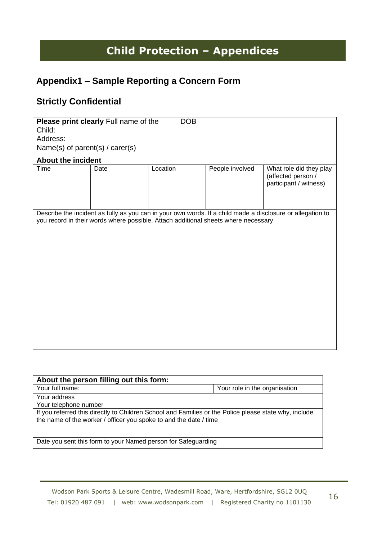## **Appendix1 – Sample Reporting a Concern Form**

## **Strictly Confidential**

| Child:                    | Please print clearly Full name of the                                              |          | <b>DOB</b> |                 |                                                                                                            |
|---------------------------|------------------------------------------------------------------------------------|----------|------------|-----------------|------------------------------------------------------------------------------------------------------------|
| Address:                  |                                                                                    |          |            |                 |                                                                                                            |
|                           | Name(s) of parent(s) / carer(s)                                                    |          |            |                 |                                                                                                            |
| <b>About the incident</b> |                                                                                    |          |            |                 |                                                                                                            |
| Time                      | Date                                                                               | Location |            | People involved | What role did they play<br>(affected person /<br>participant / witness)                                    |
|                           | you record in their words where possible. Attach additional sheets where necessary |          |            |                 | Describe the incident as fully as you can in your own words. If a child made a disclosure or allegation to |

| About the person filling out this form:                                                                                                                                    |                               |  |  |  |
|----------------------------------------------------------------------------------------------------------------------------------------------------------------------------|-------------------------------|--|--|--|
| Your full name:                                                                                                                                                            | Your role in the organisation |  |  |  |
| Your address                                                                                                                                                               |                               |  |  |  |
| Your telephone number                                                                                                                                                      |                               |  |  |  |
| If you referred this directly to Children School and Families or the Police please state why, include<br>the name of the worker / officer you spoke to and the date / time |                               |  |  |  |
| Date you sent this form to your Named person for Safeguarding                                                                                                              |                               |  |  |  |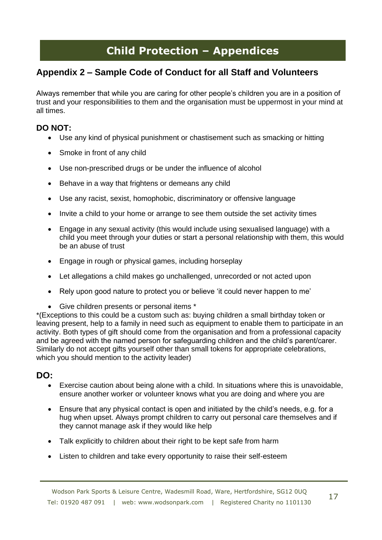## **Appendix 2 – Sample Code of Conduct for all Staff and Volunteers**

Always remember that while you are caring for other people's children you are in a position of trust and your responsibilities to them and the organisation must be uppermost in your mind at all times.

### **DO NOT:**

- Use any kind of physical punishment or chastisement such as smacking or hitting
- Smoke in front of any child
- Use non-prescribed drugs or be under the influence of alcohol
- Behave in a way that frightens or demeans any child
- Use any racist, sexist, homophobic, discriminatory or offensive language
- Invite a child to your home or arrange to see them outside the set activity times
- Engage in any sexual activity (this would include using sexualised language) with a child you meet through your duties or start a personal relationship with them, this would be an abuse of trust
- Engage in rough or physical games, including horseplay
- Let allegations a child makes go unchallenged, unrecorded or not acted upon
- Rely upon good nature to protect you or believe 'it could never happen to me'
- Give children presents or personal items \*

\*(Exceptions to this could be a custom such as: buying children a small birthday token or leaving present, help to a family in need such as equipment to enable them to participate in an activity. Both types of gift should come from the organisation and from a professional capacity and be agreed with the named person for safeguarding children and the child's parent/carer. Similarly do not accept gifts yourself other than small tokens for appropriate celebrations, which you should mention to the activity leader)

### **DO:**

- Exercise caution about being alone with a child. In situations where this is unavoidable, ensure another worker or volunteer knows what you are doing and where you are
- Ensure that any physical contact is open and initiated by the child's needs, e.g. for a hug when upset. Always prompt children to carry out personal care themselves and if they cannot manage ask if they would like help
- Talk explicitly to children about their right to be kept safe from harm
- Listen to children and take every opportunity to raise their self-esteem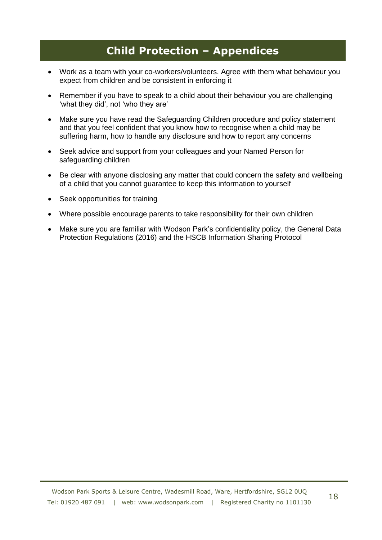- Work as a team with your co-workers/volunteers. Agree with them what behaviour you expect from children and be consistent in enforcing it
- Remember if you have to speak to a child about their behaviour you are challenging 'what they did', not 'who they are'
- Make sure you have read the Safeguarding Children procedure and policy statement and that you feel confident that you know how to recognise when a child may be suffering harm, how to handle any disclosure and how to report any concerns
- Seek advice and support from your colleagues and your Named Person for safeguarding children
- Be clear with anyone disclosing any matter that could concern the safety and wellbeing of a child that you cannot guarantee to keep this information to yourself
- Seek opportunities for training
- Where possible encourage parents to take responsibility for their own children
- Make sure you are familiar with Wodson Park's confidentiality policy, the General Data Protection Regulations (2016) and the HSCB Information Sharing Protocol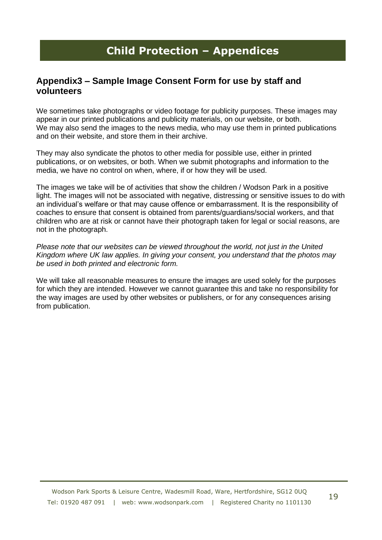## **Appendix3 – Sample Image Consent Form for use by staff and volunteers**

We sometimes take photographs or video footage for publicity purposes. These images may appear in our printed publications and publicity materials, on our website, or both. We may also send the images to the news media, who may use them in printed publications and on their website, and store them in their archive.

They may also syndicate the photos to other media for possible use, either in printed publications, or on websites, or both. When we submit photographs and information to the media, we have no control on when, where, if or how they will be used.

The images we take will be of activities that show the children / Wodson Park in a positive light. The images will not be associated with negative, distressing or sensitive issues to do with an individual's welfare or that may cause offence or embarrassment. It is the responsibility of coaches to ensure that consent is obtained from parents/guardians/social workers, and that children who are at risk or cannot have their photograph taken for legal or social reasons, are not in the photograph.

*Please note that our websites can be viewed throughout the world, not just in the United Kingdom where UK law applies. In giving your consent, you understand that the photos may be used in both printed and electronic form.* 

We will take all reasonable measures to ensure the images are used solely for the purposes for which they are intended. However we cannot guarantee this and take no responsibility for the way images are used by other websites or publishers, or for any consequences arising from publication.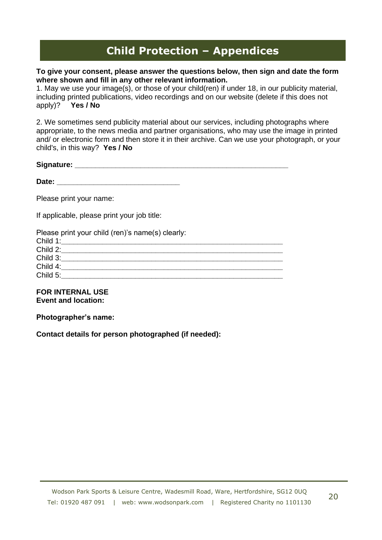#### **To give your consent, please answer the questions below, then sign and date the form where shown and fill in any other relevant information.**

1. May we use your image(s), or those of your child(ren) if under 18, in our publicity material, including printed publications, video recordings and on our website (delete if this does not apply)? **Yes / No** 

2. We sometimes send publicity material about our services, including photographs where appropriate, to the news media and partner organisations, who may use the image in printed and/ or electronic form and then store it in their archive. Can we use your photograph, or your child's, in this way? **Yes / No** 

| Signature: |  |
|------------|--|
|            |  |

Date: **Date: Date: Date:** *Particularly <b>Particularly 2006* 

Please print your name:

If applicable, please print your job title:

Please print your child (ren)'s name(s) clearly:

| Child 1: |  |  |
|----------|--|--|
| Child 2: |  |  |
| Child 3: |  |  |
| Child 4: |  |  |
| Child 5: |  |  |

#### **FOR INTERNAL USE Event and location:**

**Photographer's name:** 

**Contact details for person photographed (if needed):**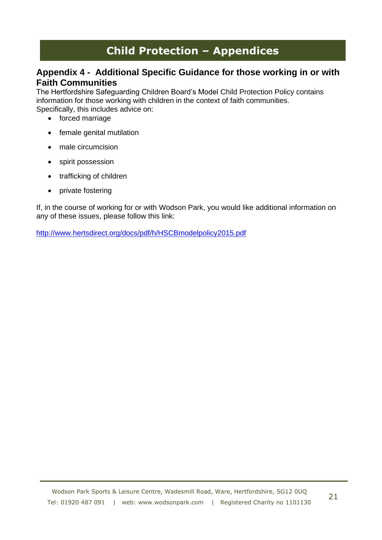## **Appendix 4 - Additional Specific Guidance for those working in or with Faith Communities**

The Hertfordshire Safeguarding Children Board's Model Child Protection Policy contains information for those working with children in the context of faith communities. Specifically, this includes advice on:

- forced marriage
- female genital mutilation
- male circumcision
- spirit possession
- trafficking of children
- private fostering

If, in the course of working for or with Wodson Park, you would like additional information on any of these issues, please follow this link:

<http://www.hertsdirect.org/docs/pdf/h/HSCBmodelpolicy2015.pdf>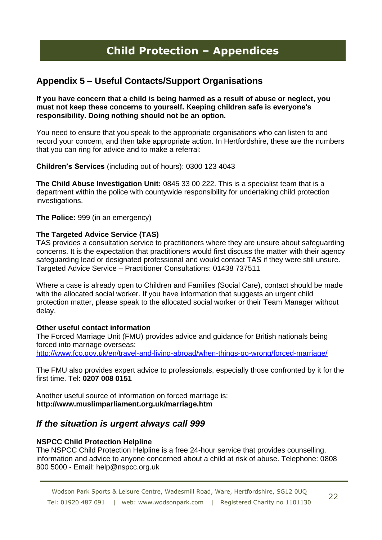## **Appendix 5 – Useful Contacts/Support Organisations**

#### **If you have concern that a child is being harmed as a result of abuse or neglect, you must not keep these concerns to yourself. Keeping children safe is everyone's responsibility. Doing nothing should not be an option.**

You need to ensure that you speak to the appropriate organisations who can listen to and record your concern, and then take appropriate action. In Hertfordshire, these are the numbers that you can ring for advice and to make a referral:

**Children's Services** (including out of hours): 0300 123 4043

**The Child Abuse Investigation Unit:** 0845 33 00 222. This is a specialist team that is a department within the police with countywide responsibility for undertaking child protection investigations.

**The Police:** 999 (in an emergency)

#### **The Targeted Advice Service (TAS)**

TAS provides a consultation service to practitioners where they are unsure about safeguarding concerns. It is the expectation that practitioners would first discuss the matter with their agency safeguarding lead or designated professional and would contact TAS if they were still unsure. Targeted Advice Service – Practitioner Consultations: 01438 737511

Where a case is already open to Children and Families (Social Care), contact should be made with the allocated social worker. If you have information that suggests an urgent child protection matter, please speak to the allocated social worker or their Team Manager without delay.

#### **Other useful contact information**

The Forced Marriage Unit (FMU) provides advice and guidance for British nationals being forced into marriage overseas: <http://www.fco.gov.uk/en/travel-and-living-abroad/when-things-go-wrong/forced-marriage/>

The FMU also provides expert advice to professionals, especially those confronted by it for the first time. Tel: **0207 008 0151** 

Another useful source of information on forced marriage is: **http://www.muslimparliament.org.uk/marriage.htm** 

### *If the situation is urgent always call 999*

#### **NSPCC Child Protection Helpline**

The NSPCC Child Protection Helpline is a free 24-hour service that provides counselling, information and advice to anyone concerned about a child at risk of abuse. Telephone: 0808 800 5000 - Email: help@nspcc.org.uk